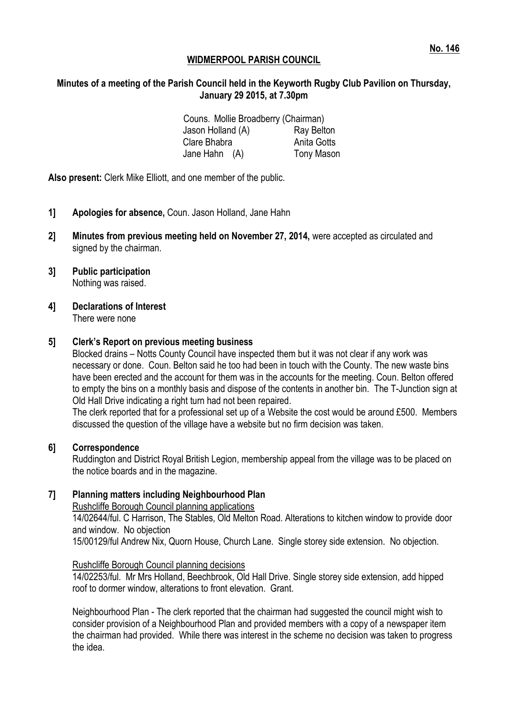# **Minutes of a meeting of the Parish Council held in the Keyworth Rugby Club Pavilion on Thursday, January 29 2015, at 7.30pm**

Couns. Mollie Broadberry (Chairman) Jason Holland (A) Ray Belton Clare Bhabra **Anita** Gotts Jane Hahn (A) Tony Mason

**Also present:** Clerk Mike Elliott, and one member of the public.

- **1] Apologies for absence,** Coun. Jason Holland, Jane Hahn
- **2] Minutes from previous meeting held on November 27, 2014,** were accepted as circulated and signed by the chairman.
- **3] Public participation** Nothing was raised.
- **4] Declarations of Interest** There were none

#### **5] Clerk's Report on previous meeting business**

Blocked drains – Notts County Council have inspected them but it was not clear if any work was necessary or done. Coun. Belton said he too had been in touch with the County. The new waste bins have been erected and the account for them was in the accounts for the meeting. Coun. Belton offered to empty the bins on a monthly basis and dispose of the contents in another bin. The T-Junction sign at Old Hall Drive indicating a right turn had not been repaired.

The clerk reported that for a professional set up of a Website the cost would be around £500. Members discussed the question of the village have a website but no firm decision was taken.

#### **6] Correspondence**

Ruddington and District Royal British Legion, membership appeal from the village was to be placed on the notice boards and in the magazine.

# **7] Planning matters including Neighbourhood Plan**

Rushcliffe Borough Council planning applications

14/02644/ful. C Harrison, The Stables, Old Melton Road. Alterations to kitchen window to provide door and window. No objection

15/00129/ful Andrew Nix, Quorn House, Church Lane. Single storey side extension. No objection.

#### Rushcliffe Borough Council planning decisions

14/02253/ful. Mr Mrs Holland, Beechbrook, Old Hall Drive. Single storey side extension, add hipped roof to dormer window, alterations to front elevation. Grant.

Neighbourhood Plan - The clerk reported that the chairman had suggested the council might wish to consider provision of a Neighbourhood Plan and provided members with a copy of a newspaper item the chairman had provided. While there was interest in the scheme no decision was taken to progress the idea.